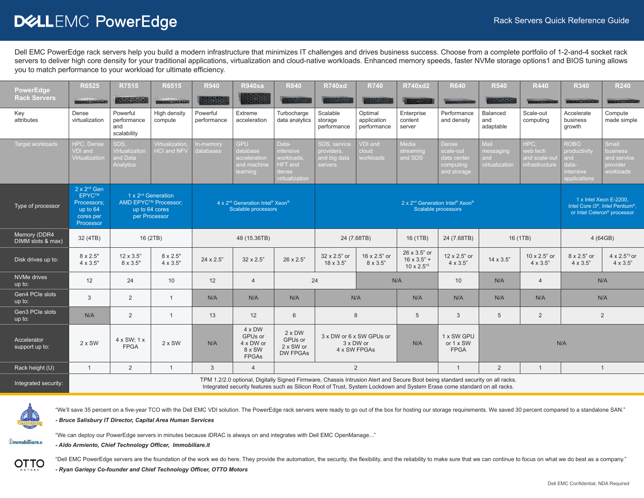# DELLEMC PowerEdge

Dell EMC PowerEdge rack servers help you build a modern infrastructure that minimizes IT challenges and drives business success. Choose from a complete portfolio of 1-2-and-4 socket rack servers to deliver high core density for your traditional applications, virtualization and cloud-native workloads. Enhanced memory speeds, faster NVMe storage options1 and BIOS tuning allows you to match performance to your workload for ultimate efficiency.

| <b>PowerEdge</b>                  | R6525                                                                                       | R7515                                           | R6515                                                                                     | <b>R940</b>             | <b>R940xa</b>                                                                                                                                                                                                                                              | <b>R840</b>                                                                  | <b>R740xd</b>                                         | <b>R740</b>                                           | <b>R740xd2</b>                                                      | <b>R640</b>                                                   | <b>R540</b>                                | <b>R440</b>                                         | <b>R340</b>                                                              | <b>R240</b>                                                                                                                    |
|-----------------------------------|---------------------------------------------------------------------------------------------|-------------------------------------------------|-------------------------------------------------------------------------------------------|-------------------------|------------------------------------------------------------------------------------------------------------------------------------------------------------------------------------------------------------------------------------------------------------|------------------------------------------------------------------------------|-------------------------------------------------------|-------------------------------------------------------|---------------------------------------------------------------------|---------------------------------------------------------------|--------------------------------------------|-----------------------------------------------------|--------------------------------------------------------------------------|--------------------------------------------------------------------------------------------------------------------------------|
| <b>Rack Servers</b>               | <b>TENSORIAL ALL</b>                                                                        | <b>GADAS MAD</b>                                | <b>I PRESENTED</b>                                                                        | 大学学院                    | 222                                                                                                                                                                                                                                                        | <b>NATION</b>                                                                | <b>CROSS CRO</b>                                      | <b>TADAY ADAD</b>                                     | 533525951                                                           | <b>STATEMENT</b>                                              | 1221595                                    |                                                     | <b>THEOREMORATOR</b>                                                     | <b>BEOSCOWY OF</b>                                                                                                             |
| Key<br>attributes                 | Dense<br>virtualization                                                                     | Powerful<br>performance<br>and<br>scalability   | High density<br>compute                                                                   | Powerful<br>performance | Extreme<br>acceleration                                                                                                                                                                                                                                    | Turbocharge<br>data analytics                                                | Scalable<br>storage<br>performance                    | Optimal<br>application<br>performance                 | Enterprise<br>content<br>server                                     | Performance<br>and density                                    | Balanced<br>and<br>adaptable               | Scale-out<br>computing                              | Accelerate<br>business<br>growth                                         | Compute<br>made simple                                                                                                         |
| <b>Target workloads</b>           | HPC, Dense<br>VDI and<br>Virtualization                                                     | SDS.<br>Virtualization<br>and Data<br>Analytics | Virtualization.<br>HCI and NFV                                                            | In-memory<br>databases  | <b>GPU</b><br>database<br>acceleration<br>and machine<br>learning                                                                                                                                                                                          | Data-<br>intensive<br>workloads<br><b>HFT</b> and<br>dense<br>virtualization | SDS, service<br>providers.<br>and big data<br>servers | VDI and<br>cloud<br>workloads                         | Media<br>streaming<br>and SDS                                       | Dense<br>scale-out<br>data center<br>computing<br>and storage | Mail<br>messaging<br>and<br>virtualization | HPC.<br>web tech<br>and scale-out<br>infrastructure | <b>ROBO</b><br>productivity<br>and<br>data-<br>intensive<br>applications | Small<br>business<br>and service<br>provider<br>workloads                                                                      |
| Type of processor                 | $2 \times 2^{nd}$ Gen<br><b>EPYCTM</b><br>Processors:<br>up to 64<br>cores per<br>Processor |                                                 | 1 x 2 <sup>nd</sup> Generation<br>AMD EPYC™ Processor:<br>up to 64 cores<br>per Processor |                         | 4 x 2 <sup>nd</sup> Generation Intel <sup>®</sup> Xeon <sup>®</sup><br>Scalable processors                                                                                                                                                                 |                                                                              |                                                       |                                                       | 2 x 2 <sup>nd</sup> Generation Intel <sup>®</sup> Xeon <sup>®</sup> | Scalable processors                                           |                                            |                                                     |                                                                          | 1 x Intel Xeon E-2200.<br>Intel Core i3 <sup>®</sup> , Intel Pentium <sup>®</sup> ,<br>or Intel Celeron <sup>®</sup> processor |
| Memory (DDR4<br>DIMM slots & max) | 32 (4TB)                                                                                    |                                                 | 16 (2TB)                                                                                  |                         | 48 (15.36TB)                                                                                                                                                                                                                                               |                                                                              |                                                       | 24 (7.68TB)                                           | 16 (1TB)                                                            | 24 (7.68TB)                                                   |                                            | 16 (1TB)                                            |                                                                          | 4 (64GB)                                                                                                                       |
| Disk drives up to:                | 8 x 2.5"<br>4 x 3.5"                                                                        | $12 \times 3.5"$<br>8 x 3.5"                    | 8 x 2.5"<br>4 x 3.5"                                                                      | 24 x 2.5"               | 32 x 2.5"                                                                                                                                                                                                                                                  | 26 x 2.5"                                                                    | 32 x 2.5" or<br>18 x 3.5"                             | 16 x 2.5" or<br>8 x 3.5"                              | 26 x 3.5" or<br>$16 \times 3.5"$ +<br>$10 \times 2.5$ "2            | 12 x 2.5" or<br>4 x 3.5"                                      | $14 \times 3.5$ "                          | 10 x 2.5" or<br>4 x 3.5"                            | 8 x 2.5" or<br>$4 \times 3.5"$                                           | $4 \times 2.5^{n_2}$ or<br>$4 \times 3.5$ "                                                                                    |
| NVMe drives<br>$up$ to:           | 12                                                                                          | 24                                              | 10                                                                                        | 12                      | $\overline{4}$                                                                                                                                                                                                                                             |                                                                              | 24                                                    |                                                       | N/A                                                                 | 10                                                            | N/A                                        | $\overline{4}$                                      |                                                                          | N/A                                                                                                                            |
| Gen4 PCIe slots<br>up to:         | $\mathbf{3}$                                                                                | $\overline{2}$                                  | $\overline{1}$                                                                            | N/A                     | N/A                                                                                                                                                                                                                                                        | N/A                                                                          |                                                       | N/A                                                   | N/A                                                                 | N/A                                                           | N/A                                        | N/A                                                 |                                                                          | N/A                                                                                                                            |
| Gen3 PCIe slots<br>up to:         | N/A                                                                                         | 2                                               | $\overline{1}$                                                                            | 13                      | 12                                                                                                                                                                                                                                                         | 6                                                                            |                                                       | 8                                                     | 5                                                                   | 3                                                             | 5                                          | 2                                                   |                                                                          | 2                                                                                                                              |
| Accelerator<br>support up to:     | $2 \times$ SW                                                                               | 4 x SW; 1 x<br><b>FPGA</b>                      | $2 \times$ SW                                                                             | N/A                     | 4 x DW<br>GPUs or<br>4 x DW or<br>8 x SW<br><b>FPGAs</b>                                                                                                                                                                                                   | $2 \times DW$<br>GPUs or<br>2 x SW or<br><b>DW FPGAs</b>                     |                                                       | 3 x DW or 6 x SW GPUs or<br>3 x DW or<br>4 x SW FPGAs | N/A                                                                 | 1 x SW GPU<br>or 1 x SW<br><b>FPGA</b>                        |                                            |                                                     | N/A                                                                      |                                                                                                                                |
| Rack height (U)                   | $\overline{1}$                                                                              | 2                                               | $\mathbf{1}$                                                                              | 3                       | $\overline{4}$                                                                                                                                                                                                                                             |                                                                              |                                                       | $\overline{2}$                                        |                                                                     | $\mathbf{1}$                                                  | $\overline{2}$                             | $\mathbf{1}$                                        |                                                                          | $\mathbf{1}$                                                                                                                   |
| Integrated security:              |                                                                                             |                                                 |                                                                                           |                         | TPM 1.2/2.0 optional, Digitally Signed Firmware, Chassis Intrusion Alert and Secure Boot being standard security on all racks.<br>Integrated security features such as Silicon Root of Trust, System Lockdown and System Erase come standard on all racks. |                                                                              |                                                       |                                                       |                                                                     |                                                               |                                            |                                                     |                                                                          |                                                                                                                                |



"We'll save 35 percent on a five-year TCO with the Dell EMC VDI solution. The PowerEdge rack servers were ready to go out of the box for hosting our storage requirements. We saved 30 percent compared to a standalone SAN." *- Bruce Salisbury IT Director, Capital Area Human Services*

<u>ûmmobiliare.it</u>

*- Aldo Armiento, Chief Technology Officer, Immobiliare.it*



"Dell EMC PowerEdge servers are the foundation of the work we do here. They provide the automation, the security, the flexibility, and the reliability to make sure that we can continue to focus on what we do best as a comp

*- Ryan Gariepy Co-founder and Chief Technology Officer, OTTO Motors*

"We can deploy our PowerEdge servers in minutes because iDRAC is always on and integrates with Dell EMC OpenManage..."